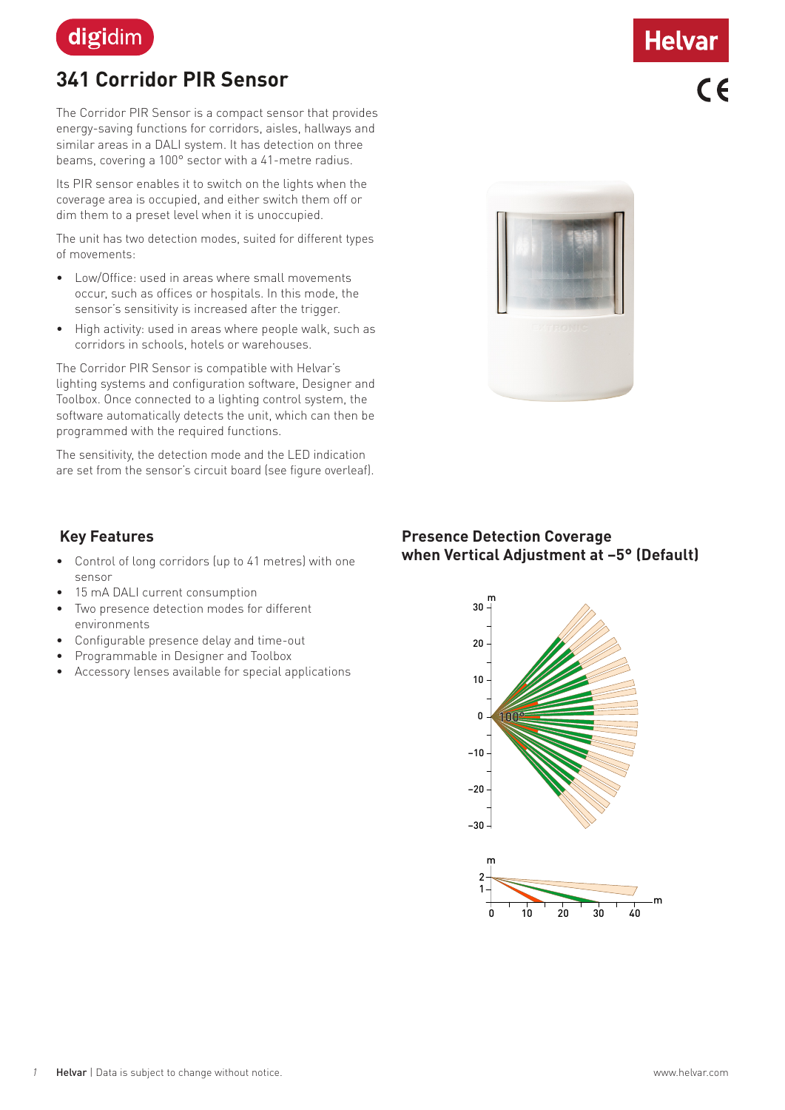

# **341 Corridor PIR Sensor**

The Corridor PIR Sensor is a compact sensor that provides energy-saving functions for corridors, aisles, hallways and similar areas in a DALI system. It has detection on three beams, covering a 100° sector with a 41-metre radius.

Its PIR sensor enables it to switch on the lights when the coverage area is occupied, and either switch them off or dim them to a preset level when it is unoccupied.

The unit has two detection modes, suited for different types of movements:

- Low/Office: used in areas where small movements occur, such as offices or hospitals. In this mode, the sensor's sensitivity is increased after the trigger.
- High activity: used in areas where people walk, such as corridors in schools, hotels or warehouses.

The Corridor PIR Sensor is compatible with Helvar's lighting systems and configuration software, Designer and Toolbox. Once connected to a lighting control system, the software automatically detects the unit, which can then be programmed with the required functions.

The sensitivity, the detection mode and the LED indication are set from the sensor's circuit board (see figure overleaf).

# **Key Features**

- Control of long corridors (up to 41 metres) with one sensor
- 15 mA DALI current consumption
- Two presence detection modes for different environments
- Configurable presence delay and time-out
- Programmable in Designer and Toolbox
- Accessory lenses available for special applications



# **Helvar**

## **Presence Detection Coverage when Vertical Adjustment at −5° (Default)**